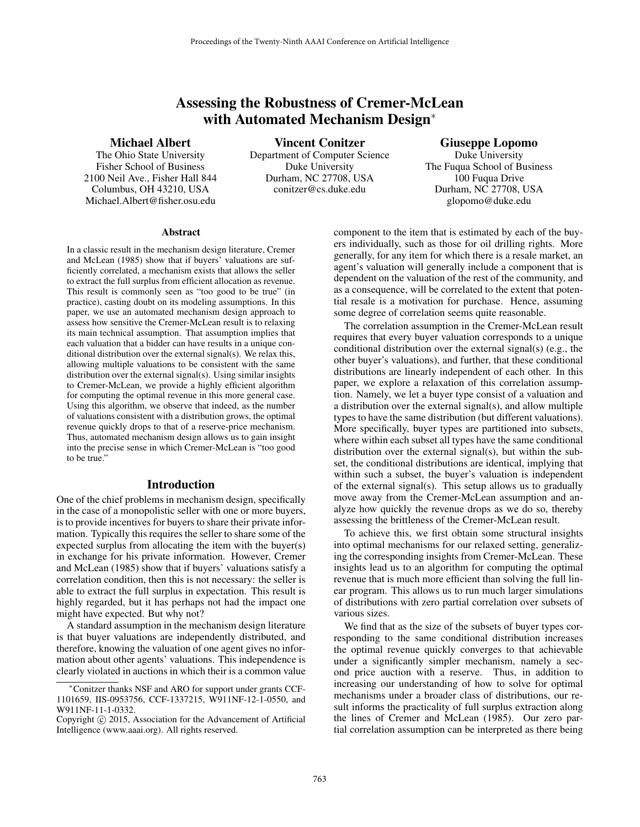# Assessing the Robustness of Cremer-McLean with Automated Mechanism Design<sup>∗</sup>

### Michael Albert

The Ohio State University Fisher School of Business 2100 Neil Ave., Fisher Hall 844 Columbus, OH 43210, USA Michael.Albert@fisher.osu.edu

Vincent Conitzer Department of Computer Science Duke University Durham, NC 27708, USA conitzer@cs.duke.edu

## Giuseppe Lopomo

Duke University The Fuqua School of Business 100 Fuqua Drive Durham, NC 27708, USA glopomo@duke.edu

#### **Abstract**

In a classic result in the mechanism design literature, Cremer and McLean (1985) show that if buyers' valuations are sufficiently correlated, a mechanism exists that allows the seller to extract the full surplus from efficient allocation as revenue. This result is commonly seen as "too good to be true" (in practice), casting doubt on its modeling assumptions. In this paper, we use an automated mechanism design approach to assess how sensitive the Cremer-McLean result is to relaxing its main technical assumption. That assumption implies that each valuation that a bidder can have results in a unique conditional distribution over the external signal(s). We relax this, allowing multiple valuations to be consistent with the same distribution over the external signal(s). Using similar insights to Cremer-McLean, we provide a highly efficient algorithm for computing the optimal revenue in this more general case. Using this algorithm, we observe that indeed, as the number of valuations consistent with a distribution grows, the optimal revenue quickly drops to that of a reserve-price mechanism. Thus, automated mechanism design allows us to gain insight into the precise sense in which Cremer-McLean is "too good to be true."

#### Introduction

One of the chief problems in mechanism design, specifically in the case of a monopolistic seller with one or more buyers, is to provide incentives for buyers to share their private information. Typically this requires the seller to share some of the expected surplus from allocating the item with the buyer(s) in exchange for his private information. However, Cremer and McLean (1985) show that if buyers' valuations satisfy a correlation condition, then this is not necessary: the seller is able to extract the full surplus in expectation. This result is highly regarded, but it has perhaps not had the impact one might have expected. But why not?

A standard assumption in the mechanism design literature is that buyer valuations are independently distributed, and therefore, knowing the valuation of one agent gives no information about other agents' valuations. This independence is clearly violated in auctions in which their is a common value component to the item that is estimated by each of the buyers individually, such as those for oil drilling rights. More generally, for any item for which there is a resale market, an agent's valuation will generally include a component that is dependent on the valuation of the rest of the community, and as a consequence, will be correlated to the extent that potential resale is a motivation for purchase. Hence, assuming some degree of correlation seems quite reasonable.

The correlation assumption in the Cremer-McLean result requires that every buyer valuation corresponds to a unique conditional distribution over the external signal(s) (e.g., the other buyer's valuations), and further, that these conditional distributions are linearly independent of each other. In this paper, we explore a relaxation of this correlation assumption. Namely, we let a buyer type consist of a valuation and a distribution over the external signal(s), and allow multiple types to have the same distribution (but different valuations). More specifically, buyer types are partitioned into subsets, where within each subset all types have the same conditional distribution over the external signal(s), but within the subset, the conditional distributions are identical, implying that within such a subset, the buyer's valuation is independent of the external signal(s). This setup allows us to gradually move away from the Cremer-McLean assumption and analyze how quickly the revenue drops as we do so, thereby assessing the brittleness of the Cremer-McLean result.

To achieve this, we first obtain some structural insights into optimal mechanisms for our relaxed setting, generalizing the corresponding insights from Cremer-McLean. These insights lead us to an algorithm for computing the optimal revenue that is much more efficient than solving the full linear program. This allows us to run much larger simulations of distributions with zero partial correlation over subsets of various sizes.

We find that as the size of the subsets of buyer types corresponding to the same conditional distribution increases the optimal revenue quickly converges to that achievable under a significantly simpler mechanism, namely a second price auction with a reserve. Thus, in addition to increasing our understanding of how to solve for optimal mechanisms under a broader class of distributions, our result informs the practicality of full surplus extraction along the lines of Cremer and McLean (1985). Our zero partial correlation assumption can be interpreted as there being

<sup>∗</sup>Conitzer thanks NSF and ARO for support under grants CCF-1101659, IIS-0953756, CCF-1337215, W911NF-12-1-0550, and W911NF-11-1-0332.

Copyright © 2015, Association for the Advancement of Artificial Intelligence (www.aaai.org). All rights reserved.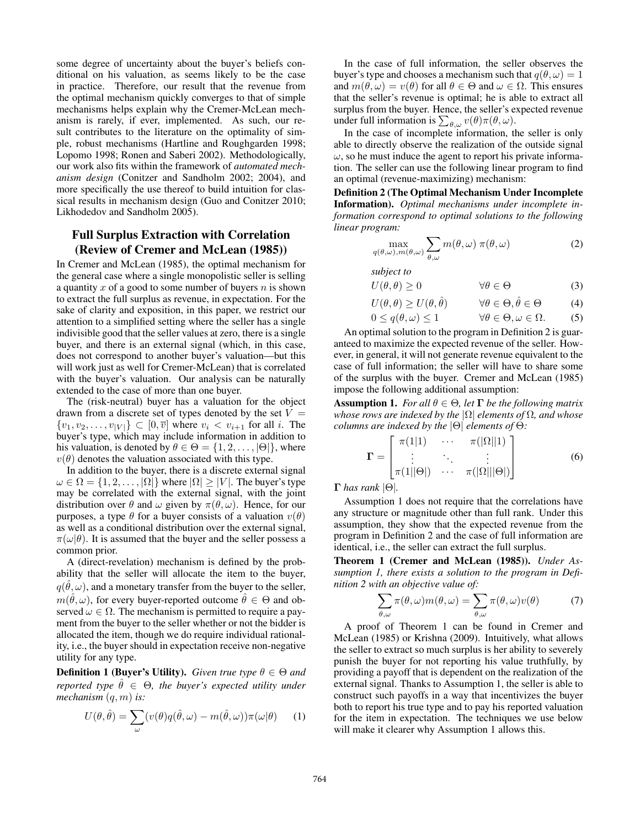some degree of uncertainty about the buyer's beliefs conditional on his valuation, as seems likely to be the case in practice. Therefore, our result that the revenue from the optimal mechanism quickly converges to that of simple mechanisms helps explain why the Cremer-McLean mechanism is rarely, if ever, implemented. As such, our result contributes to the literature on the optimality of simple, robust mechanisms (Hartline and Roughgarden 1998; Lopomo 1998; Ronen and Saberi 2002). Methodologically, our work also fits within the framework of *automated mechanism design* (Conitzer and Sandholm 2002; 2004), and more specifically the use thereof to build intuition for classical results in mechanism design (Guo and Conitzer 2010; Likhodedov and Sandholm 2005).

## Full Surplus Extraction with Correlation (Review of Cremer and McLean (1985))

In Cremer and McLean (1985), the optimal mechanism for the general case where a single monopolistic seller is selling a quantity  $x$  of a good to some number of buyers  $n$  is shown to extract the full surplus as revenue, in expectation. For the sake of clarity and exposition, in this paper, we restrict our attention to a simplified setting where the seller has a single indivisible good that the seller values at zero, there is a single buyer, and there is an external signal (which, in this case, does not correspond to another buyer's valuation—but this will work just as well for Cremer-McLean) that is correlated with the buyer's valuation. Our analysis can be naturally extended to the case of more than one buyer.

The (risk-neutral) buyer has a valuation for the object drawn from a discrete set of types denoted by the set  $V =$  $\{v_1, v_2, \ldots, v_{|V|}\} \subset [0, \overline{v}]$  where  $v_i < v_{i+1}$  for all i. The buyer's type, which may include information in addition to his valuation, is denoted by  $\theta \in \Theta = \{1, 2, \dots, |\Theta|\}$ , where  $v(\theta)$  denotes the valuation associated with this type.

In addition to the buyer, there is a discrete external signal  $\omega \in \Omega = \{1, 2, \ldots, |\Omega| \}$  where  $|\Omega| \geq |V|$ . The buyer's type may be correlated with the external signal, with the joint distribution over  $\theta$  and  $\omega$  given by  $\pi(\theta, \omega)$ . Hence, for our purposes, a type  $\theta$  for a buyer consists of a valuation  $v(\theta)$ as well as a conditional distribution over the external signal,  $\pi(\omega|\theta)$ . It is assumed that the buyer and the seller possess a common prior.

A (direct-revelation) mechanism is defined by the probability that the seller will allocate the item to the buyer,  $q(\hat{\theta}, \omega)$ , and a monetary transfer from the buyer to the seller,  $m(\hat{\theta}, \omega)$ , for every buyer-reported outcome  $\hat{\theta} \in \Theta$  and observed  $\omega \in \Omega$ . The mechanism is permitted to require a payment from the buyer to the seller whether or not the bidder is allocated the item, though we do require individual rationality, i.e., the buyer should in expectation receive non-negative utility for any type.

**Definition 1 (Buyer's Utility).** *Given true type*  $\theta \in \Theta$  *and reported type*  $\hat{\theta} \in \Theta$ *, the buyer's expected utility under mechanism* (q, m) *is:*

$$
U(\theta, \hat{\theta}) = \sum_{\omega} (v(\theta)q(\hat{\theta}, \omega) - m(\hat{\theta}, \omega))\pi(\omega|\theta)
$$
 (1)

In the case of full information, the seller observes the buyer's type and chooses a mechanism such that  $q(\theta, \omega) = 1$ and  $m(\theta, \omega) = v(\theta)$  for all  $\theta \in \Theta$  and  $\omega \in \Omega$ . This ensures that the seller's revenue is optimal; he is able to extract all surplus from the buyer. Hence, the seller's expected revenue under full information is  $\sum_{\theta,\omega} v(\theta) \pi(\theta,\omega)$ .

In the case of incomplete information, the seller is only able to directly observe the realization of the outside signal  $\omega$ , so he must induce the agent to report his private information. The seller can use the following linear program to find an optimal (revenue-maximizing) mechanism:

Definition 2 (The Optimal Mechanism Under Incomplete Information). *Optimal mechanisms under incomplete information correspond to optimal solutions to the following linear program:*

$$
\max_{q(\theta,\omega),m(\theta,\omega)} \sum_{\theta,\omega} m(\theta,\omega) \ \pi(\theta,\omega) \tag{2}
$$

*subject to*

 $U(\theta, \theta) \ge 0$   $\forall \theta \in \Theta$  (3)

$$
U(\theta, \theta) \ge U(\theta, \hat{\theta}) \qquad \forall \theta \in \Theta, \hat{\theta} \in \Theta \tag{4}
$$

$$
0 \le q(\theta, \omega) \le 1 \qquad \forall \theta \in \Theta, \omega \in \Omega. \tag{5}
$$

An optimal solution to the program in Definition 2 is guaranteed to maximize the expected revenue of the seller. However, in general, it will not generate revenue equivalent to the case of full information; the seller will have to share some of the surplus with the buyer. Cremer and McLean (1985) impose the following additional assumption:

**Assumption 1.** *For all*  $\theta \in \Theta$ *, let*  $\Gamma$  *be the following matrix whose rows are indexed by the* |Ω| *elements of* Ω*, and whose columns are indexed by the* |Θ| *elements of* Θ*:*

$$
\mathbf{\Gamma} = \begin{bmatrix} \pi(1|1) & \cdots & \pi(|\Omega||1) \\ \vdots & \ddots & \vdots \\ \pi(1||\Theta|) & \cdots & \pi(|\Omega|||\Theta|) \end{bmatrix}
$$
(6)

Γ *has rank* |Θ|*.*

Assumption 1 does not require that the correlations have any structure or magnitude other than full rank. Under this assumption, they show that the expected revenue from the program in Definition 2 and the case of full information are identical, i.e., the seller can extract the full surplus.

Theorem 1 (Cremer and McLean (1985)). *Under Assumption 1, there exists a solution to the program in Definition 2 with an objective value of:*

$$
\sum_{\theta,\omega} \pi(\theta,\omega)m(\theta,\omega) = \sum_{\theta,\omega} \pi(\theta,\omega)v(\theta)
$$
 (7)

A proof of Theorem 1 can be found in Cremer and McLean (1985) or Krishna (2009). Intuitively, what allows the seller to extract so much surplus is her ability to severely punish the buyer for not reporting his value truthfully, by providing a payoff that is dependent on the realization of the external signal. Thanks to Assumption 1, the seller is able to construct such payoffs in a way that incentivizes the buyer both to report his true type and to pay his reported valuation for the item in expectation. The techniques we use below will make it clearer why Assumption 1 allows this.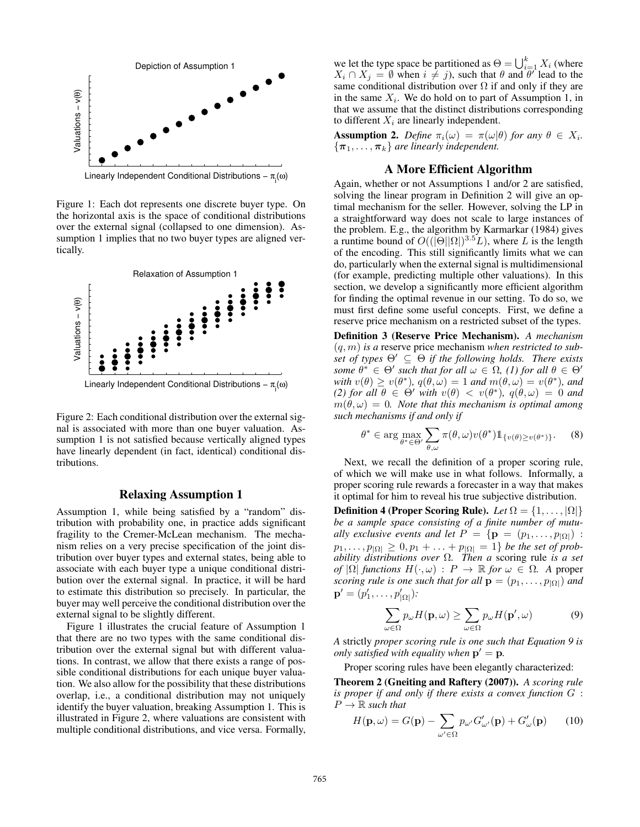

Linearly Independent Conditional Distributions – π<sub>i</sub>(ω)

Figure 1: Each dot represents one discrete buyer type. On the horizontal axis is the space of conditional distributions over the external signal (collapsed to one dimension). Assumption 1 implies that no two buyer types are aligned vertically.



Linearly Independent Conditional Distributions – π<sub>i</sub>(ω)

Figure 2: Each conditional distribution over the external signal is associated with more than one buyer valuation. Assumption 1 is not satisfied because vertically aligned types have linearly dependent (in fact, identical) conditional distributions.

#### Relaxing Assumption 1

Assumption 1, while being satisfied by a "random" distribution with probability one, in practice adds significant fragility to the Cremer-McLean mechanism. The mechanism relies on a very precise specification of the joint distribution over buyer types and external states, being able to associate with each buyer type a unique conditional distribution over the external signal. In practice, it will be hard to estimate this distribution so precisely. In particular, the buyer may well perceive the conditional distribution over the external signal to be slightly different.

Figure 1 illustrates the crucial feature of Assumption 1 that there are no two types with the same conditional distribution over the external signal but with different valuations. In contrast, we allow that there exists a range of possible conditional distributions for each unique buyer valuation. We also allow for the possibility that these distributions overlap, i.e., a conditional distribution may not uniquely identify the buyer valuation, breaking Assumption 1. This is illustrated in Figure 2, where valuations are consistent with multiple conditional distributions, and vice versa. Formally,

we let the type space be partitioned as  $\Theta = \bigcup_{i=1}^k X_i$  (where  $X_i \cap X_j = \emptyset$  when  $i \neq j$ , such that  $\theta$  and  $\theta$ <sup>'</sup> lead to the same conditional distribution over  $\Omega$  if and only if they are in the same  $X_i$ . We do hold on to part of Assumption 1, in that we assume that the distinct distributions corresponding to different  $X_i$  are linearly independent.

**Assumption 2.** Define  $\pi_i(\omega) = \pi(\omega|\theta)$  for any  $\theta \in X_i$ .  ${\lbrace \pi_1, \ldots, \pi_k \rbrace}$  are linearly independent.

### A More Efficient Algorithm

Again, whether or not Assumptions 1 and/or 2 are satisfied, solving the linear program in Definition 2 will give an optimal mechanism for the seller. However, solving the LP in a straightforward way does not scale to large instances of the problem. E.g., the algorithm by Karmarkar (1984) gives a runtime bound of  $O((|\Theta||\Omega|)^{3.5}L)$ , where L is the length of the encoding. This still significantly limits what we can do, particularly when the external signal is multidimensional (for example, predicting multiple other valuations). In this section, we develop a significantly more efficient algorithm for finding the optimal revenue in our setting. To do so, we must first define some useful concepts. First, we define a reserve price mechanism on a restricted subset of the types.

Definition 3 (Reserve Price Mechanism). *A mechanism* (q, m) *is a* reserve price mechanism *when restricted to subset of types*  $\Theta' \subseteq \Theta$  *if the following holds. There exists some*  $\theta^* \in \Theta'$  *such that for all*  $\omega \in \Omega$ , (1) for all  $\theta \in \Theta'$ with  $v(\theta) \ge v(\theta^*)$ ,  $q(\theta, \omega) = 1$  and  $m(\theta, \omega) = v(\theta^*)$ , and *(2) for all*  $\theta \in \Theta'$  *with*  $v(\theta) < v(\theta^*)$ ,  $q(\theta,\omega) = 0$  *and*  $m(\theta,\omega) = 0$ . Note that this mechanism is optimal among *such mechanisms if and only if*

$$
\theta^* \in \arg\max_{\theta^* \in \Theta'} \sum_{\theta,\omega} \pi(\theta,\omega) v(\theta^*) \mathbb{1}_{\{v(\theta) \ge v(\theta^*)\}}.
$$
 (8)

Next, we recall the definition of a proper scoring rule, of which we will make use in what follows. Informally, a proper scoring rule rewards a forecaster in a way that makes it optimal for him to reveal his true subjective distribution.

**Definition 4 (Proper Scoring Rule).** *Let*  $\Omega = \{1, \ldots, |\Omega|\}$ *be a sample space consisting of a finite number of mutually exclusive events and let*  $P = \{ \mathbf{p} = (p_1, \ldots, p_{|\Omega|}) :$  $p_1, \ldots, p_{|\Omega|} \geq 0, p_1 + \ldots + p_{|\Omega|} = 1$ } *be the set of probability distributions over* Ω*. Then a* scoring rule *is a set of*  $|\Omega|$  *functions*  $H(\cdot, \omega) : P \to \mathbb{R}$  *for*  $\omega \in \Omega$ . A proper *scoring rule is one such that for all*  $\mathbf{p} = (p_1, \ldots, p_{|\Omega|})$  *and*  ${\bf p}' = (p'_1, \ldots, p'_{|\Omega|})$ *:* 

$$
\sum_{\omega \in \Omega} p_{\omega} H(\mathbf{p}, \omega) \ge \sum_{\omega \in \Omega} p_{\omega} H(\mathbf{p}', \omega) \tag{9}
$$

*A* strictly *proper scoring rule is one such that Equation 9 is only satisfied with equality when*  $p' = p$ .

Proper scoring rules have been elegantly characterized:

Theorem 2 (Gneiting and Raftery (2007)). *A scoring rule is proper if and only if there exists a convex function* G :  $P \rightarrow \mathbb{R}$  *such that* 

$$
H(\mathbf{p}, \omega) = G(\mathbf{p}) - \sum_{\omega' \in \Omega} p_{\omega'} G'_{\omega'}(\mathbf{p}) + G'_{\omega}(\mathbf{p}) \qquad (10)
$$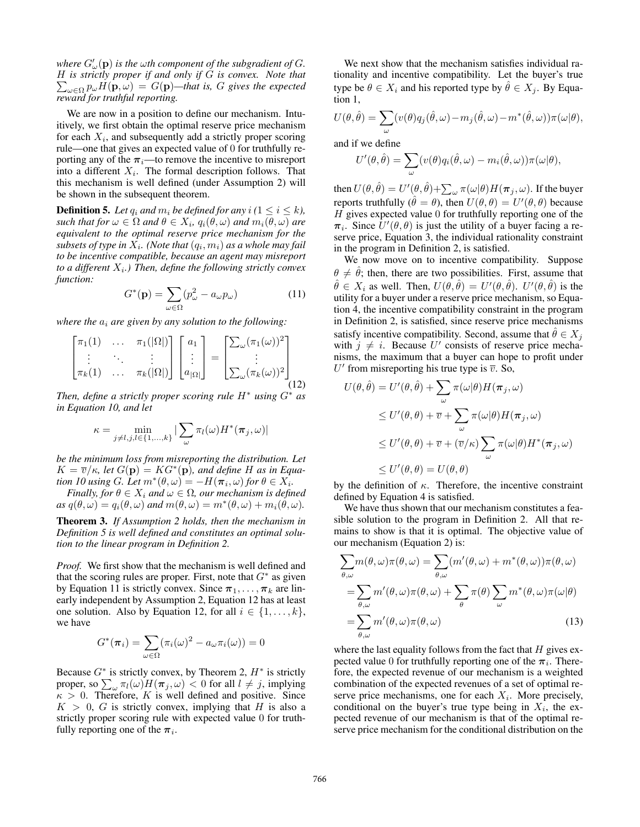where  $G'_{\omega}(\mathbf{p})$  is the  $\omega$ th component of the subgradient of  $G$ . H *is strictly proper if and only if* G *is convex. Note that*  $\sum_{\omega \in \Omega} p_{\omega} H(\mathbf{p}, \omega) = G(\mathbf{p})$ —that is, G gives the expected *reward for truthful reporting.*

We are now in a position to define our mechanism. Intuitively, we first obtain the optimal reserve price mechanism for each  $X_i$ , and subsequently add a strictly proper scoring rule—one that gives an expected value of 0 for truthfully reporting any of the  $\pi_i$ —to remove the incentive to misreport into a different  $X_i$ . The formal description follows. That this mechanism is well defined (under Assumption 2) will be shown in the subsequent theorem.

**Definition 5.** Let  $q_i$  and  $m_i$  be defined for any  $i$  ( $1 \leq i \leq k$ ),  $\mathit{such that for} \ \omega \in \Omega \ and \ \theta \in X_i, \ q_i(\theta,\omega) \ and \ m_i(\theta,\omega) \ are$ *equivalent to the optimal reserve price mechanism for the*  $subsets$  of type in  $X_i$ . (Note that  $(q_i, m_i)$  as a whole may fail *to be incentive compatible, because an agent may misreport* to a different  $X_i$ .) Then, define the following strictly convex *function:*

$$
G^*(\mathbf{p}) = \sum_{\omega \in \Omega} (p_{\omega}^2 - a_{\omega} p_{\omega})
$$
 (11)

*where the*  $a_i$  *are given by any solution to the following:* 

$$
\begin{bmatrix} \pi_1(1) & \dots & \pi_1(|\Omega|) \\ \vdots & \ddots & \vdots \\ \pi_k(1) & \dots & \pi_k(|\Omega|) \end{bmatrix} \begin{bmatrix} a_1 \\ \vdots \\ a_{|\Omega|} \end{bmatrix} = \begin{bmatrix} \sum_{\omega} (\pi_1(\omega))^2 \\ \vdots \\ \sum_{\omega} (\pi_k(\omega))^2 \end{bmatrix}
$$
(12)

*Then, define a strictly proper scoring rule* H<sup>∗</sup> *using* G<sup>∗</sup> *as in Equation 10, and let*

$$
\kappa = \min_{j \neq l, j, l \in \{1, \dots, k\}} |\sum_{\omega} \pi_l(\omega) H^*(\pi_j, \omega)|
$$

*be the minimum loss from misreporting the distribution. Let*  $K = \overline{v}/\kappa$ , let  $G(\mathbf{p}) = KG^*(\mathbf{p})$ , and define H as in Equa*tion 10 using G. Let*  $m^*(\theta, \omega) = -H(\pi_i, \omega)$  *for*  $\theta \in X_i$ *.* 

*Finally, for*  $\theta \in X_i$  *and*  $\omega \in \Omega$ *, our mechanism is defined*  $as \ q(\theta, \omega) = q_i(\theta, \omega)$  *and*  $m(\theta, \omega) = m^*(\theta, \omega) + m_i(\theta, \omega)$ .

Theorem 3. *If Assumption 2 holds, then the mechanism in Definition 5 is well defined and constitutes an optimal solution to the linear program in Definition 2.*

*Proof.* We first show that the mechanism is well defined and that the scoring rules are proper. First, note that  $G^*$  as given by Equation 11 is strictly convex. Since  $\pi_1, \ldots, \pi_k$  are linearly independent by Assumption 2, Equation 12 has at least one solution. Also by Equation 12, for all  $i \in \{1, \ldots, k\}$ , we have

$$
G^*(\boldsymbol{\pi}_i) = \sum_{\omega \in \Omega} (\pi_i(\omega))^2 - a_{\omega} \pi_i(\omega)) = 0
$$

Because  $G^*$  is strictly convex, by Theorem 2,  $H^*$  is strictly proper, so  $\sum_{\omega} \pi_l(\omega) H(\pi_j, \omega) < 0$  for all  $l \neq j$ , implying  $\kappa > 0$ . Therefore, K is well defined and positive. Since  $K > 0$ , G is strictly convex, implying that H is also a strictly proper scoring rule with expected value 0 for truthfully reporting one of the  $\pi_i$ .

We next show that the mechanism satisfies individual rationality and incentive compatibility. Let the buyer's true type be  $\theta \in X_i$  and his reported type by  $\hat{\theta} \in X_i$ . By Equation 1,

$$
U(\theta, \hat{\theta}) = \sum_{\omega} (v(\theta)q_j(\hat{\theta}, \omega) - m_j(\hat{\theta}, \omega) - m^*(\hat{\theta}, \omega))\pi(\omega|\theta),
$$

and if we define

$$
U'(\theta, \hat{\theta}) = \sum_{\omega} (v(\theta)q_i(\hat{\theta}, \omega) - m_i(\hat{\theta}, \omega))\pi(\omega|\theta),
$$

then  $U(\theta, \hat{\theta}) = U'(\theta, \hat{\theta}) + \sum_\omega \pi(\omega | \theta) H(\bm{\pi}_j, \omega).$  If the buyer reports truthfully  $(\hat{\theta} = \theta)$ , then  $U(\theta, \theta) = U'(\theta, \theta)$  because  $H$  gives expected value 0 for truthfully reporting one of the  $\pi_i$ . Since  $\tilde{U}'(\theta, \theta)$  is just the utility of a buyer facing a reserve price, Equation 3, the individual rationality constraint in the program in Definition 2, is satisfied.

We now move on to incentive compatibility. Suppose  $\theta \neq \hat{\theta}$ ; then, there are two possibilities. First, assume that  $\hat{\theta} \in X_i$  as well. Then,  $U(\theta, \hat{\theta}) = U'(\theta, \hat{\theta})$ .  $U'(\theta, \hat{\theta})$  is the utility for a buyer under a reserve price mechanism, so Equation 4, the incentive compatibility constraint in the program in Definition 2, is satisfied, since reserve price mechanisms satisfy incentive compatibility. Second, assume that  $\hat{\theta} \in X_i$ with  $j \neq i$ . Because U' consists of reserve price mechanisms, the maximum that a buyer can hope to profit under U' from misreporting his true type is  $\overline{v}$ . So,

$$
U(\theta, \hat{\theta}) = U'(\theta, \hat{\theta}) + \sum_{\omega} \pi(\omega|\theta) H(\pi_j, \omega)
$$
  
\n
$$
\leq U'(\theta, \theta) + \overline{v} + \sum_{\omega} \pi(\omega|\theta) H(\pi_j, \omega)
$$
  
\n
$$
\leq U'(\theta, \theta) + \overline{v} + (\overline{v}/\kappa) \sum_{\omega} \pi(\omega|\theta) H^*(\pi_j, \omega)
$$
  
\n
$$
\leq U'(\theta, \theta) = U(\theta, \theta)
$$

by the definition of  $\kappa$ . Therefore, the incentive constraint defined by Equation 4 is satisfied.

We have thus shown that our mechanism constitutes a feasible solution to the program in Definition 2. All that remains to show is that it is optimal. The objective value of our mechanism (Equation 2) is:

$$
\sum_{\theta,\omega} m(\theta,\omega)\pi(\theta,\omega) = \sum_{\theta,\omega} (m'(\theta,\omega) + m^*(\theta,\omega))\pi(\theta,\omega)
$$

$$
= \sum_{\theta,\omega} m'(\theta,\omega)\pi(\theta,\omega) + \sum_{\theta} \pi(\theta) \sum_{\omega} m^*(\theta,\omega)\pi(\omega|\theta)
$$

$$
= \sum_{\theta,\omega} m'(\theta,\omega)\pi(\theta,\omega) \tag{13}
$$

where the last equality follows from the fact that  $H$  gives expected value 0 for truthfully reporting one of the  $\pi_i$ . Therefore, the expected revenue of our mechanism is a weighted combination of the expected revenues of a set of optimal reserve price mechanisms, one for each  $X_i$ . More precisely, conditional on the buyer's true type being in  $X_i$ , the expected revenue of our mechanism is that of the optimal reserve price mechanism for the conditional distribution on the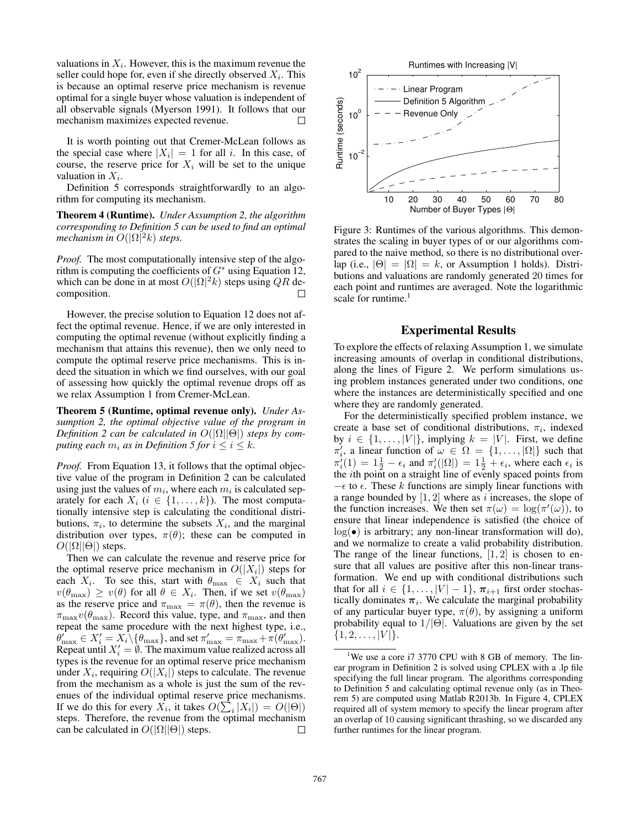valuations in  $X_i$ . However, this is the maximum revenue the seller could hope for, even if she directly observed  $X_i$ . This is because an optimal reserve price mechanism is revenue optimal for a single buyer whose valuation is independent of all observable signals (Myerson 1991). It follows that our mechanism maximizes expected revenue.  $\Box$ 

It is worth pointing out that Cremer-McLean follows as the special case where  $|X_i| = 1$  for all i. In this case, of course, the reserve price for  $X_i$  will be set to the unique valuation in  $X_i$ .

Definition 5 corresponds straightforwardly to an algorithm for computing its mechanism.

Theorem 4 (Runtime). *Under Assumption 2, the algorithm corresponding to Definition 5 can be used to find an optimal mechanism in*  $O(|\Omega|^2 k)$  *steps.* 

*Proof.* The most computationally intensive step of the algorithm is computing the coefficients of  $G^*$  using Equation 12, which can be done in at most  $O(|\Omega|^2 k)$  steps using QR decomposition. □

However, the precise solution to Equation 12 does not affect the optimal revenue. Hence, if we are only interested in computing the optimal revenue (without explicitly finding a mechanism that attains this revenue), then we only need to compute the optimal reserve price mechanisms. This is indeed the situation in which we find ourselves, with our goal of assessing how quickly the optimal revenue drops off as we relax Assumption 1 from Cremer-McLean.

Theorem 5 (Runtime, optimal revenue only). *Under Assumption 2, the optimal objective value of the program in Definition 2 can be calculated in*  $O(|\Omega||\Theta|)$  *steps by computing each*  $m_i$  *as in Definition 5 for*  $i \leq i \leq k$ *.* 

*Proof.* From Equation 13, it follows that the optimal objective value of the program in Definition 2 can be calculated using just the values of  $m_i$ , where each  $m_i$  is calculated separately for each  $X_i$  ( $i \in \{1, \ldots, k\}$ ). The most computationally intensive step is calculating the conditional distributions,  $\pi_i$ , to determine the subsets  $X_i$ , and the marginal distribution over types,  $\pi(\theta)$ ; these can be computed in  $O(|\Omega||\Theta|)$  steps.

Then we can calculate the revenue and reserve price for the optimal reserve price mechanism in  $O(|X_i|)$  steps for each  $X_i$ . To see this, start with  $\theta_{\text{max}} \in X_i$  such that  $v(\theta_{\text{max}}) \geq v(\theta)$  for all  $\theta \in X_i$ . Then, if we set  $v(\theta_{\text{max}})$ as the reserve price and  $\pi_{\text{max}} = \pi(\theta)$ , then the revenue is  $\pi_{\text{max}}v(\theta_{\text{max}})$ . Record this value, type, and  $\pi_{\text{max}}$ , and then repeat the same procedure with the next highest type, i.e.,  $\theta_{\max} \in X_i' = X_i \setminus {\theta_{\max}}$ , and set  $\pi_{\max}' = \pi_{\max} + \pi(\theta_{\max}')$ . Repeat until  $X'_i = \emptyset$ . The maximum value realized across all types is the revenue for an optimal reserve price mechanism under  $X_i$ , requiring  $O(|X_i|)$  steps to calculate. The revenue from the mechanism as a whole is just the sum of the revenues of the individual optimal reserve price mechanisms. If we do this for every  $X_i$ , it takes  $O(\sum_i |X_i|) = O(|\Theta|)$ steps. Therefore, the revenue from the optimal mechanism can be calculated in  $O(|\Omega||\Theta|)$  steps. □



Figure 3: Runtimes of the various algorithms. This demonstrates the scaling in buyer types of or our algorithms compared to the naive method, so there is no distributional overlap (i.e.,  $|\Theta| = |\Omega| = k$ , or Assumption 1 holds). Distributions and valuations are randomly generated 20 times for each point and runtimes are averaged. Note the logarithmic scale for runtime.<sup>1</sup>

### Experimental Results

To explore the effects of relaxing Assumption 1, we simulate increasing amounts of overlap in conditional distributions, along the lines of Figure 2. We perform simulations using problem instances generated under two conditions, one where the instances are deterministically specified and one where they are randomly generated.

For the deterministically specified problem instance, we create a base set of conditional distributions,  $\pi_i$ , indexed by  $i \in \{1, \ldots, |V|\}$ , implying  $k = |V|$ . First, we define  $\pi'_i$ , a linear function of  $\omega \in \Omega = \{1, \ldots, |\Omega|\}$  such that  $\pi'_i(1) = 1\frac{1}{2} - \epsilon_i$  and  $\pi'_i(|\Omega|) = 1\frac{1}{2} + \epsilon_i$ , where each  $\epsilon_i$  is the ith point on a straight line of evenly spaced points from  $-\epsilon$  to  $\epsilon$ . These k functions are simply linear functions with a range bounded by  $[1, 2]$  where as i increases, the slope of the function increases. We then set  $\pi(\omega) = \log(\pi'(\omega))$ , to ensure that linear independence is satisfied (the choice of  $log(\bullet)$  is arbitrary; any non-linear transformation will do), and we normalize to create a valid probability distribution. The range of the linear functions,  $[1, 2]$  is chosen to ensure that all values are positive after this non-linear transformation. We end up with conditional distributions such that for all  $i \in \{1, \ldots, |V| - 1\}$ ,  $\pi_{i+1}$  first order stochastically dominates  $\pi_i$ . We calculate the marginal probability of any particular buyer type,  $\pi(\theta)$ , by assigning a uniform probability equal to  $1/|\Theta|$ . Valuations are given by the set  $\{1, 2, \ldots, |V|\}.$ 

<sup>&</sup>lt;sup>1</sup>We use a core i7 3770 CPU with 8 GB of memory. The linear program in Definition 2 is solved using CPLEX with a .lp file specifying the full linear program. The algorithms corresponding to Definition 5 and calculating optimal revenue only (as in Theorem 5) are computed using Matlab R2013b. In Figure 4, CPLEX required all of system memory to specify the linear program after an overlap of 10 causing significant thrashing, so we discarded any further runtimes for the linear program.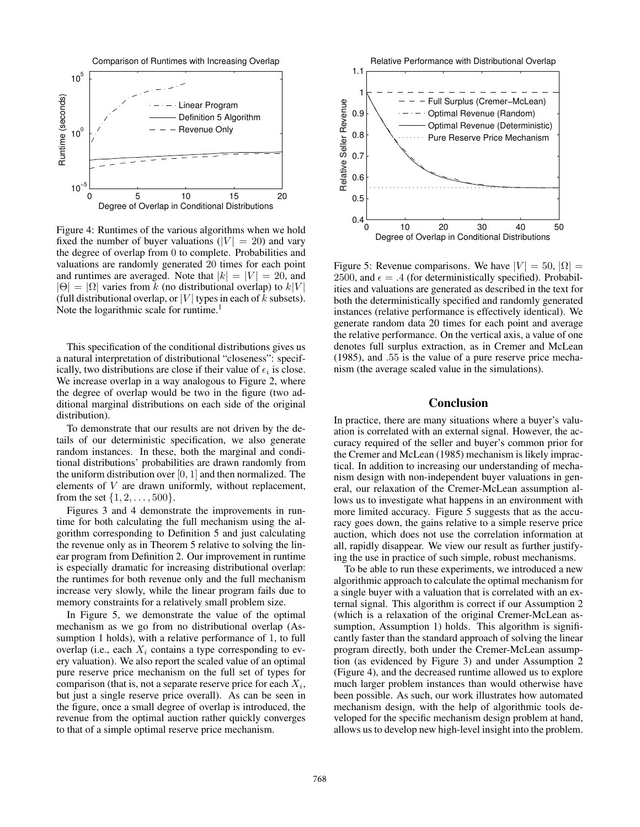

Figure 4: Runtimes of the various algorithms when we hold fixed the number of buyer valuations ( $|V| = 20$ ) and vary the degree of overlap from 0 to complete. Probabilities and valuations are randomly generated 20 times for each point and runtimes are averaged. Note that  $|k| = |V| = 20$ , and  $|\Theta| = |\Omega|$  varies from k (no distributional overlap) to  $k|V|$ (full distributional overlap, or  $|V|$  types in each of k subsets). Note the logarithmic scale for runtime.<sup>1</sup>

This specification of the conditional distributions gives us a natural interpretation of distributional "closeness": specifically, two distributions are close if their value of  $\epsilon_i$  is close. We increase overlap in a way analogous to Figure 2, where the degree of overlap would be two in the figure (two additional marginal distributions on each side of the original distribution).

To demonstrate that our results are not driven by the details of our deterministic specification, we also generate random instances. In these, both the marginal and conditional distributions' probabilities are drawn randomly from the uniform distribution over  $[0, 1]$  and then normalized. The elements of V are drawn uniformly, without replacement, from the set  $\{1, 2, \ldots, 500\}$ .

Figures 3 and 4 demonstrate the improvements in runtime for both calculating the full mechanism using the algorithm corresponding to Definition 5 and just calculating the revenue only as in Theorem 5 relative to solving the linear program from Definition 2. Our improvement in runtime is especially dramatic for increasing distributional overlap: the runtimes for both revenue only and the full mechanism increase very slowly, while the linear program fails due to memory constraints for a relatively small problem size.

In Figure 5, we demonstrate the value of the optimal mechanism as we go from no distributional overlap (Assumption 1 holds), with a relative performance of 1, to full overlap (i.e., each  $X_i$  contains a type corresponding to every valuation). We also report the scaled value of an optimal pure reserve price mechanism on the full set of types for comparison (that is, not a separate reserve price for each  $X_i$ , but just a single reserve price overall). As can be seen in the figure, once a small degree of overlap is introduced, the revenue from the optimal auction rather quickly converges to that of a simple optimal reserve price mechanism.



Figure 5: Revenue comparisons. We have  $|V| = 50$ ,  $|\Omega| =$ 2500, and  $\epsilon = .4$  (for deterministically specified). Probabilities and valuations are generated as described in the text for both the deterministically specified and randomly generated instances (relative performance is effectively identical). We generate random data 20 times for each point and average the relative performance. On the vertical axis, a value of one denotes full surplus extraction, as in Cremer and McLean (1985), and .55 is the value of a pure reserve price mechanism (the average scaled value in the simulations).

## Conclusion

In practice, there are many situations where a buyer's valuation is correlated with an external signal. However, the accuracy required of the seller and buyer's common prior for the Cremer and McLean (1985) mechanism is likely impractical. In addition to increasing our understanding of mechanism design with non-independent buyer valuations in general, our relaxation of the Cremer-McLean assumption allows us to investigate what happens in an environment with more limited accuracy. Figure 5 suggests that as the accuracy goes down, the gains relative to a simple reserve price auction, which does not use the correlation information at all, rapidly disappear. We view our result as further justifying the use in practice of such simple, robust mechanisms.

To be able to run these experiments, we introduced a new algorithmic approach to calculate the optimal mechanism for a single buyer with a valuation that is correlated with an external signal. This algorithm is correct if our Assumption 2 (which is a relaxation of the original Cremer-McLean assumption, Assumption 1) holds. This algorithm is significantly faster than the standard approach of solving the linear program directly, both under the Cremer-McLean assumption (as evidenced by Figure 3) and under Assumption 2 (Figure 4), and the decreased runtime allowed us to explore much larger problem instances than would otherwise have been possible. As such, our work illustrates how automated mechanism design, with the help of algorithmic tools developed for the specific mechanism design problem at hand, allows us to develop new high-level insight into the problem.